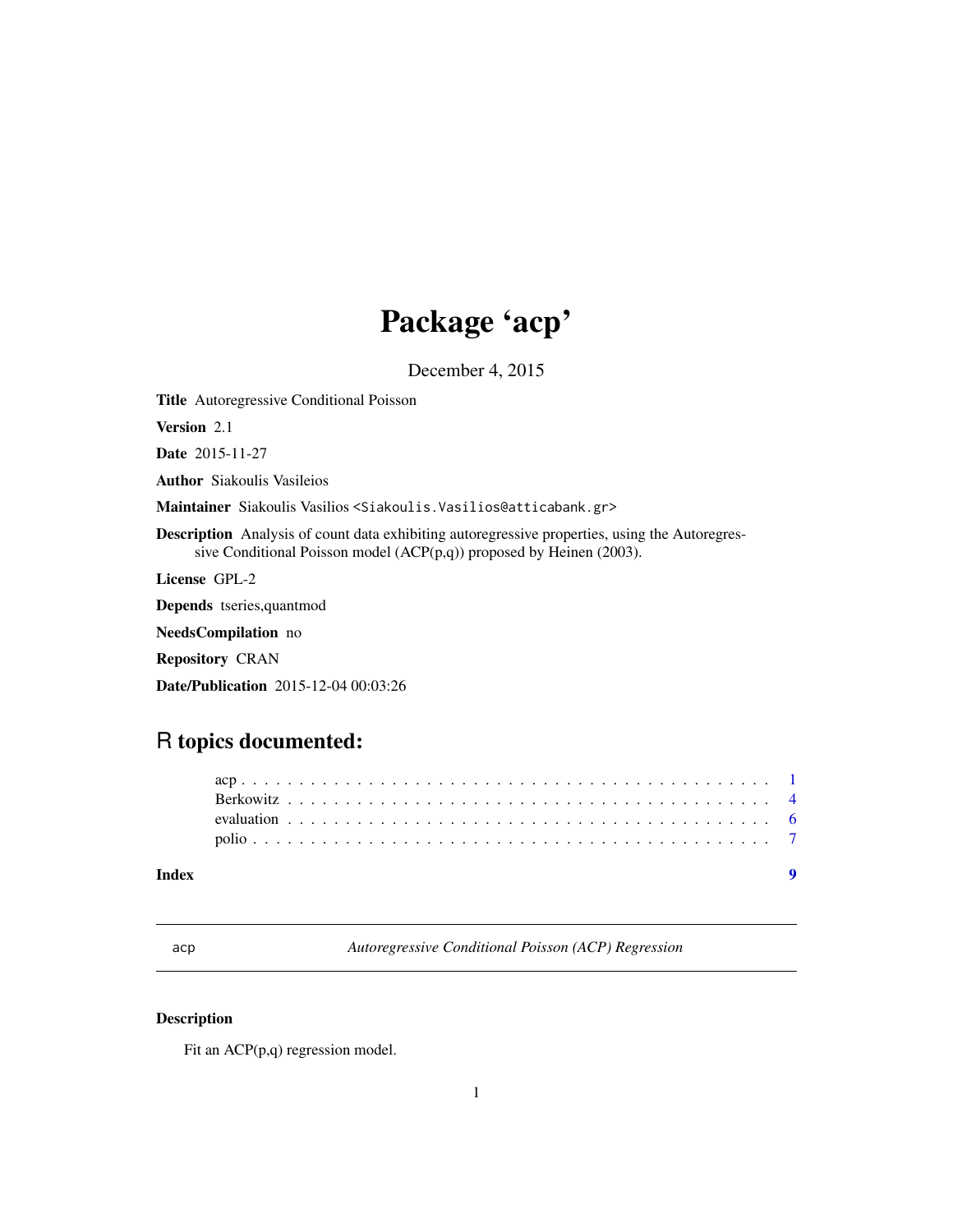# Package 'acp'

December 4, 2015

<span id="page-0-0"></span>Title Autoregressive Conditional Poisson

Version 2.1

Date 2015-11-27

Author Siakoulis Vasileios

Maintainer Siakoulis Vasilios <Siakoulis.Vasilios@atticabank.gr>

Description Analysis of count data exhibiting autoregressive properties, using the Autoregressive Conditional Poisson model (ACP(p,q)) proposed by Heinen (2003).

License GPL-2

Depends tseries,quantmod

NeedsCompilation no

Repository CRAN

Date/Publication 2015-12-04 00:03:26

## R topics documented:

| Index |  |  |  |  |  |  |  |  |  |  |  |  |  |  |  |  |  |  |  |  |  |  |  |
|-------|--|--|--|--|--|--|--|--|--|--|--|--|--|--|--|--|--|--|--|--|--|--|--|
|       |  |  |  |  |  |  |  |  |  |  |  |  |  |  |  |  |  |  |  |  |  |  |  |
|       |  |  |  |  |  |  |  |  |  |  |  |  |  |  |  |  |  |  |  |  |  |  |  |
|       |  |  |  |  |  |  |  |  |  |  |  |  |  |  |  |  |  |  |  |  |  |  |  |
|       |  |  |  |  |  |  |  |  |  |  |  |  |  |  |  |  |  |  |  |  |  |  |  |
|       |  |  |  |  |  |  |  |  |  |  |  |  |  |  |  |  |  |  |  |  |  |  |  |

acp *Autoregressive Conditional Poisson (ACP) Regression*

#### Description

Fit an ACP(p,q) regression model.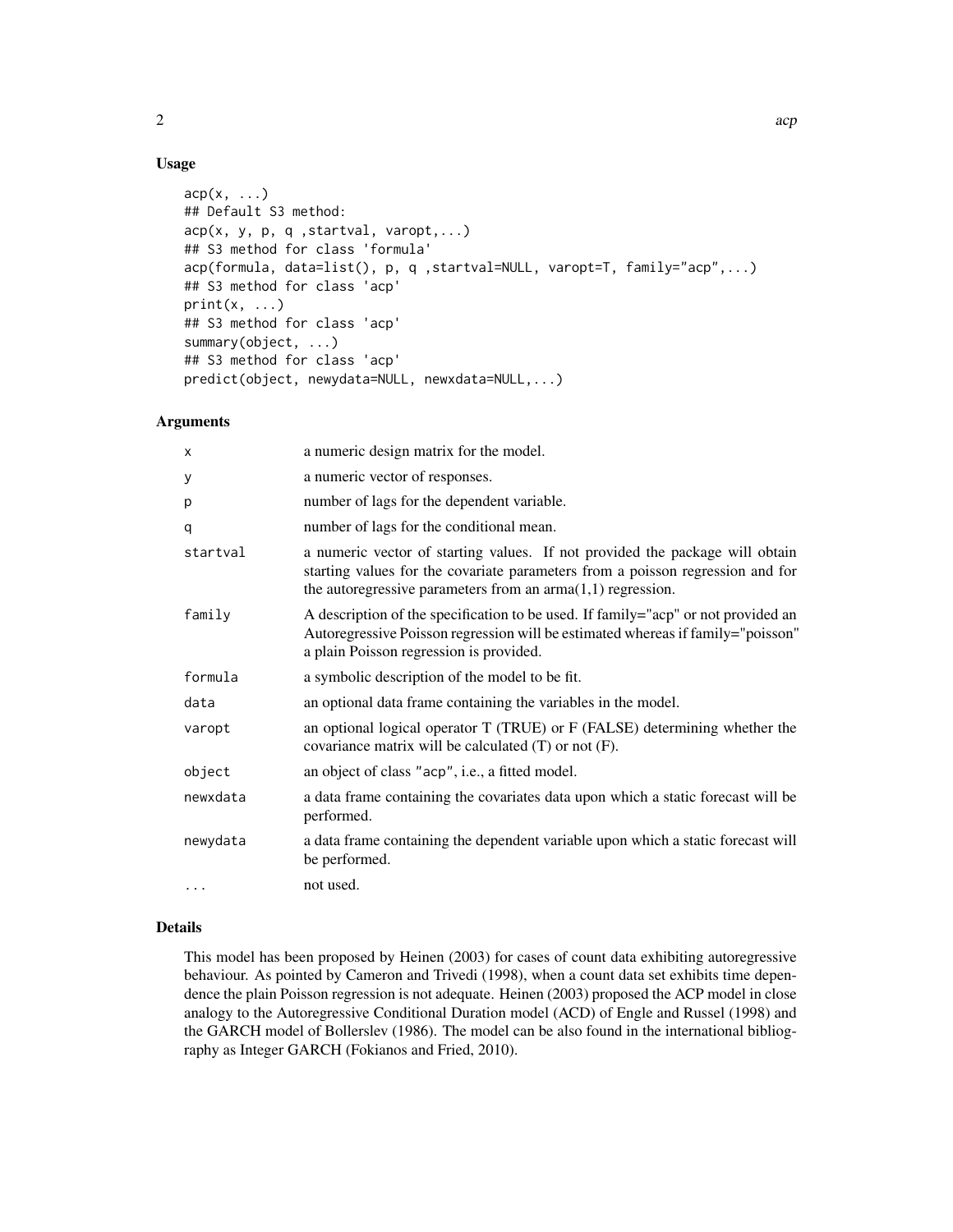#### Usage

```
acp(x, \ldots)## Default S3 method:
acp(x, y, p, q, startval, varopt, ...)## S3 method for class 'formula'
acp(formula, data=list(), p, q ,startval=NULL, varopt=T, family="acp",...)
## S3 method for class 'acp'
print(x, \ldots)## S3 method for class 'acp'
summary(object, ...)
## S3 method for class 'acp'
predict(object, newydata=NULL, newxdata=NULL,...)
```
#### Arguments

| X        | a numeric design matrix for the model.                                                                                                                                                                                          |
|----------|---------------------------------------------------------------------------------------------------------------------------------------------------------------------------------------------------------------------------------|
| у        | a numeric vector of responses.                                                                                                                                                                                                  |
| p        | number of lags for the dependent variable.                                                                                                                                                                                      |
| q        | number of lags for the conditional mean.                                                                                                                                                                                        |
| startval | a numeric vector of starting values. If not provided the package will obtain<br>starting values for the covariate parameters from a poisson regression and for<br>the autoregressive parameters from an $arma(1,1)$ regression. |
| family   | A description of the specification to be used. If family="acp" or not provided an<br>Autoregressive Poisson regression will be estimated whereas if family="poisson"<br>a plain Poisson regression is provided.                 |
| formula  | a symbolic description of the model to be fit.                                                                                                                                                                                  |
| data     | an optional data frame containing the variables in the model.                                                                                                                                                                   |
| varopt   | an optional logical operator T (TRUE) or F (FALSE) determining whether the<br>covariance matrix will be calculated $(T)$ or not $(F)$ .                                                                                         |
| object   | an object of class "acp", i.e., a fitted model.                                                                                                                                                                                 |
| newxdata | a data frame containing the covariates data upon which a static forecast will be<br>performed.                                                                                                                                  |
| newydata | a data frame containing the dependent variable upon which a static forecast will<br>be performed.                                                                                                                               |
| .        | not used.                                                                                                                                                                                                                       |

#### Details

This model has been proposed by Heinen (2003) for cases of count data exhibiting autoregressive behaviour. As pointed by Cameron and Trivedi (1998), when a count data set exhibits time dependence the plain Poisson regression is not adequate. Heinen (2003) proposed the ACP model in close analogy to the Autoregressive Conditional Duration model (ACD) of Engle and Russel (1998) and the GARCH model of Bollerslev (1986). The model can be also found in the international bibliography as Integer GARCH (Fokianos and Fried, 2010).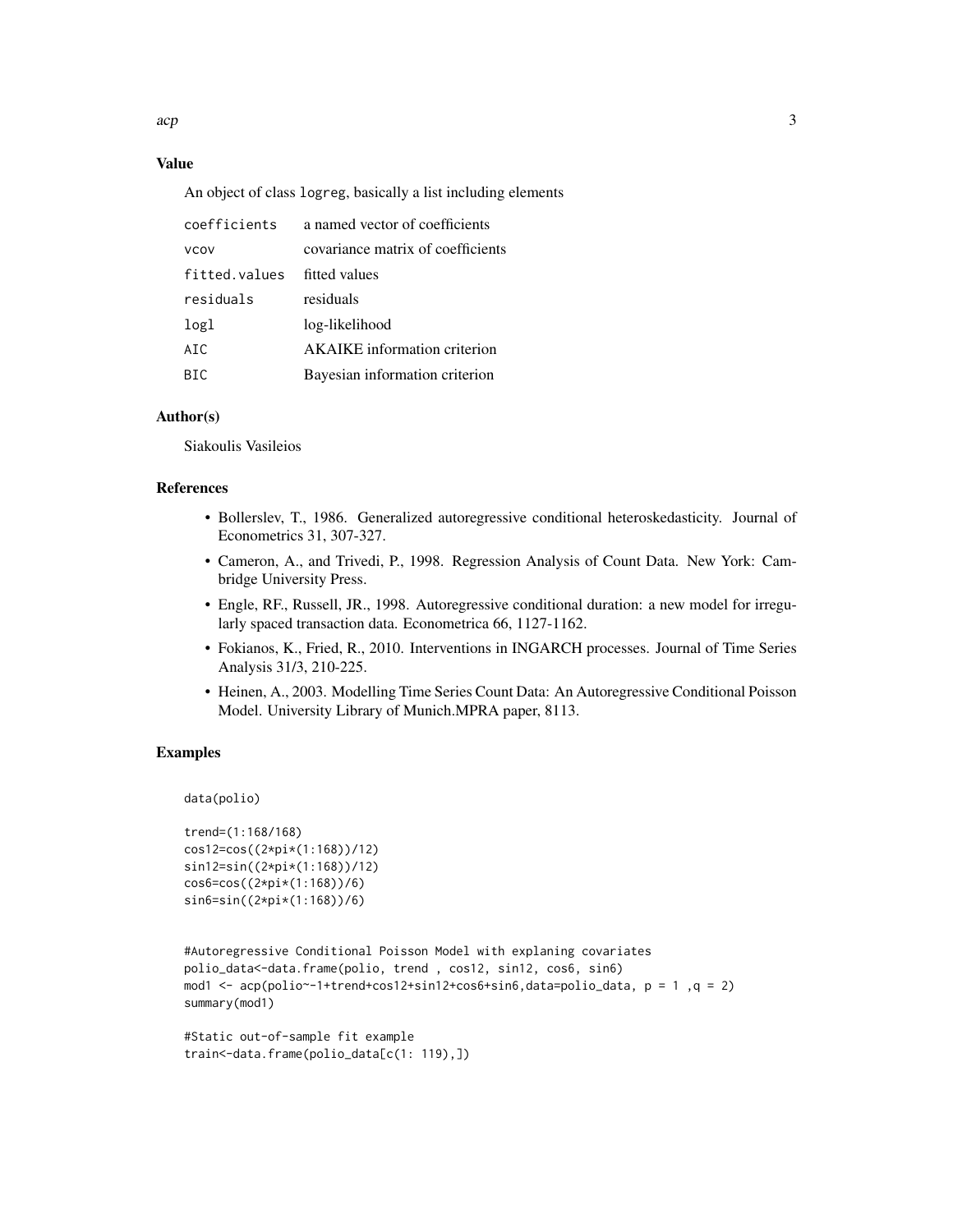$acp$  3

#### Value

An object of class logreg, basically a list including elements

| coefficients  | a named vector of coefficients      |
|---------------|-------------------------------------|
| <b>VCOV</b>   | covariance matrix of coefficients   |
| fitted.values | fitted values                       |
| residuals     | residuals                           |
| logl          | log-likelihood                      |
| ATC.          | <b>AKAIKE</b> information criterion |
| BTC.          | Bayesian information criterion      |
|               |                                     |

#### Author(s)

Siakoulis Vasileios

#### References

- Bollerslev, T., 1986. Generalized autoregressive conditional heteroskedasticity. Journal of Econometrics 31, 307-327.
- Cameron, A., and Trivedi, P., 1998. Regression Analysis of Count Data. New York: Cambridge University Press.
- Engle, RF., Russell, JR., 1998. Autoregressive conditional duration: a new model for irregularly spaced transaction data. Econometrica 66, 1127-1162.
- Fokianos, K., Fried, R., 2010. Interventions in INGARCH processes. Journal of Time Series Analysis 31/3, 210-225.
- Heinen, A., 2003. Modelling Time Series Count Data: An Autoregressive Conditional Poisson Model. University Library of Munich.MPRA paper, 8113.

#### Examples

```
data(polio)
```

```
trend=(1:168/168)
cos12=cos((2*pi*(1:168))/12)
sin12=sin((2*pi*(1:168))/12)
cos6=cos((2*pi*(1:168))/6)
sin6=sin((2*pi*(1:168))/6)
```

```
#Autoregressive Conditional Poisson Model with explaning covariates
polio_data<-data.frame(polio, trend , cos12, sin12, cos6, sin6)
mod1 <- acp(polio~-1+trend+cos12+sin12+cos6+sin6,data=polio_data, p = 1 ,q = 2)
summary(mod1)
```

```
#Static out-of-sample fit example
train<-data.frame(polio_data[c(1: 119),])
```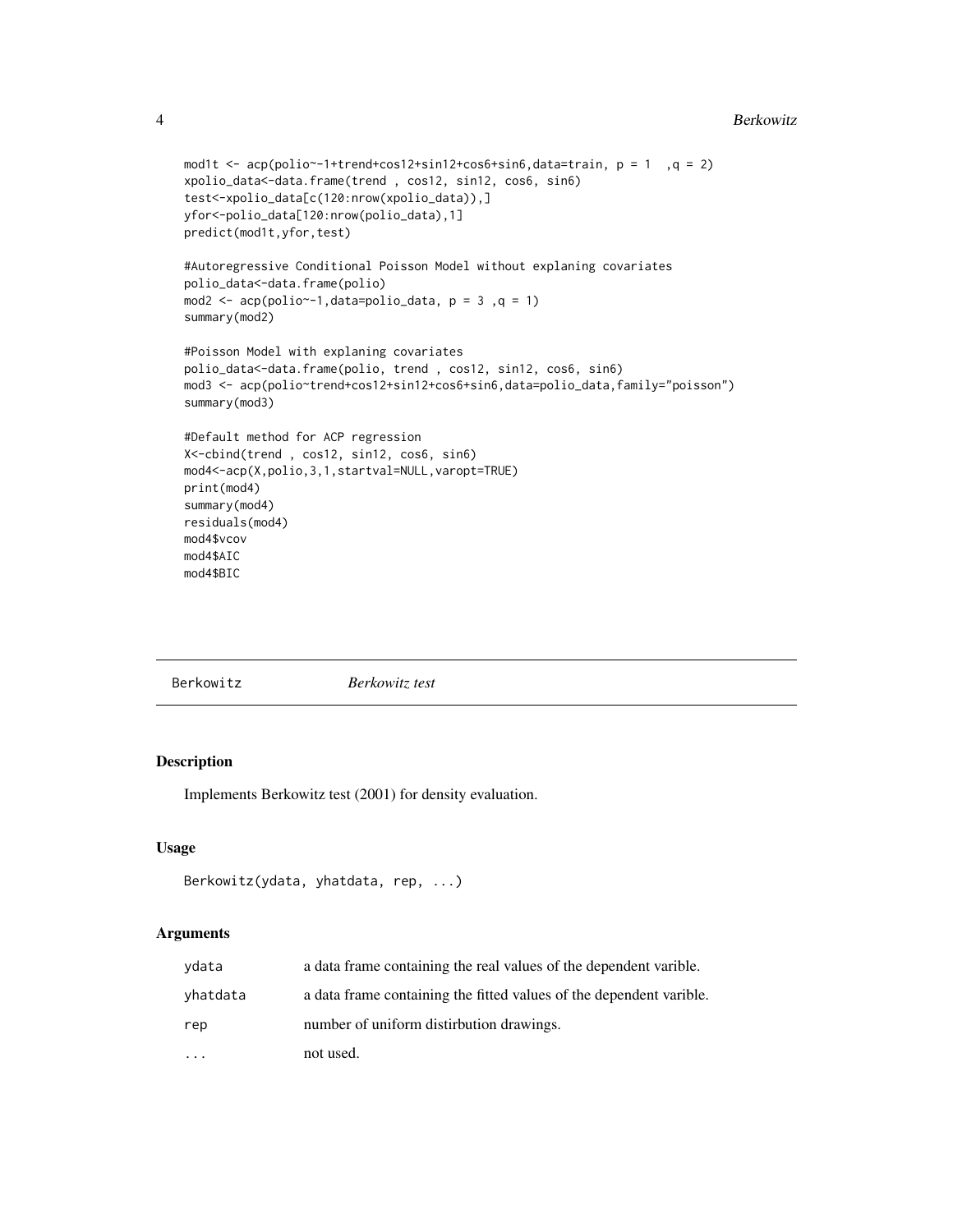```
mod1t \leq acp(polio\leq-1+trend+cos12+sin12+cos6+sin6,data=train, p = 1, q = 2)
xpolio_data<-data.frame(trend , cos12, sin12, cos6, sin6)
test<-xpolio_data[c(120:nrow(xpolio_data)),]
yfor<-polio_data[120:nrow(polio_data),1]
predict(mod1t,yfor,test)
#Autoregressive Conditional Poisson Model without explaning covariates
polio_data<-data.frame(polio)
mod2 <- acp(polio~-1, data=polio\_data, p = 3, q = 1)summary(mod2)
#Poisson Model with explaning covariates
polio_data<-data.frame(polio, trend , cos12, sin12, cos6, sin6)
mod3 <- acp(polio~trend+cos12+sin12+cos6+sin6,data=polio_data,family="poisson")
summary(mod3)
#Default method for ACP regression
X<-cbind(trend , cos12, sin12, cos6, sin6)
mod4<-acp(X,polio,3,1,startval=NULL,varopt=TRUE)
print(mod4)
summary(mod4)
residuals(mod4)
mod4$vcov
mod4$AIC
mod4$BIC
```

| Berkowitz test |  |
|----------------|--|
|                |  |

#### Description

Implements Berkowitz test (2001) for density evaluation.

#### Usage

```
Berkowitz(ydata, yhatdata, rep, ...)
```
#### Arguments

| ydata    | a data frame containing the real values of the dependent varible.   |
|----------|---------------------------------------------------------------------|
| yhatdata | a data frame containing the fitted values of the dependent varible. |
| rep      | number of uniform distirbution drawings.                            |
|          | not used.                                                           |

<span id="page-3-0"></span>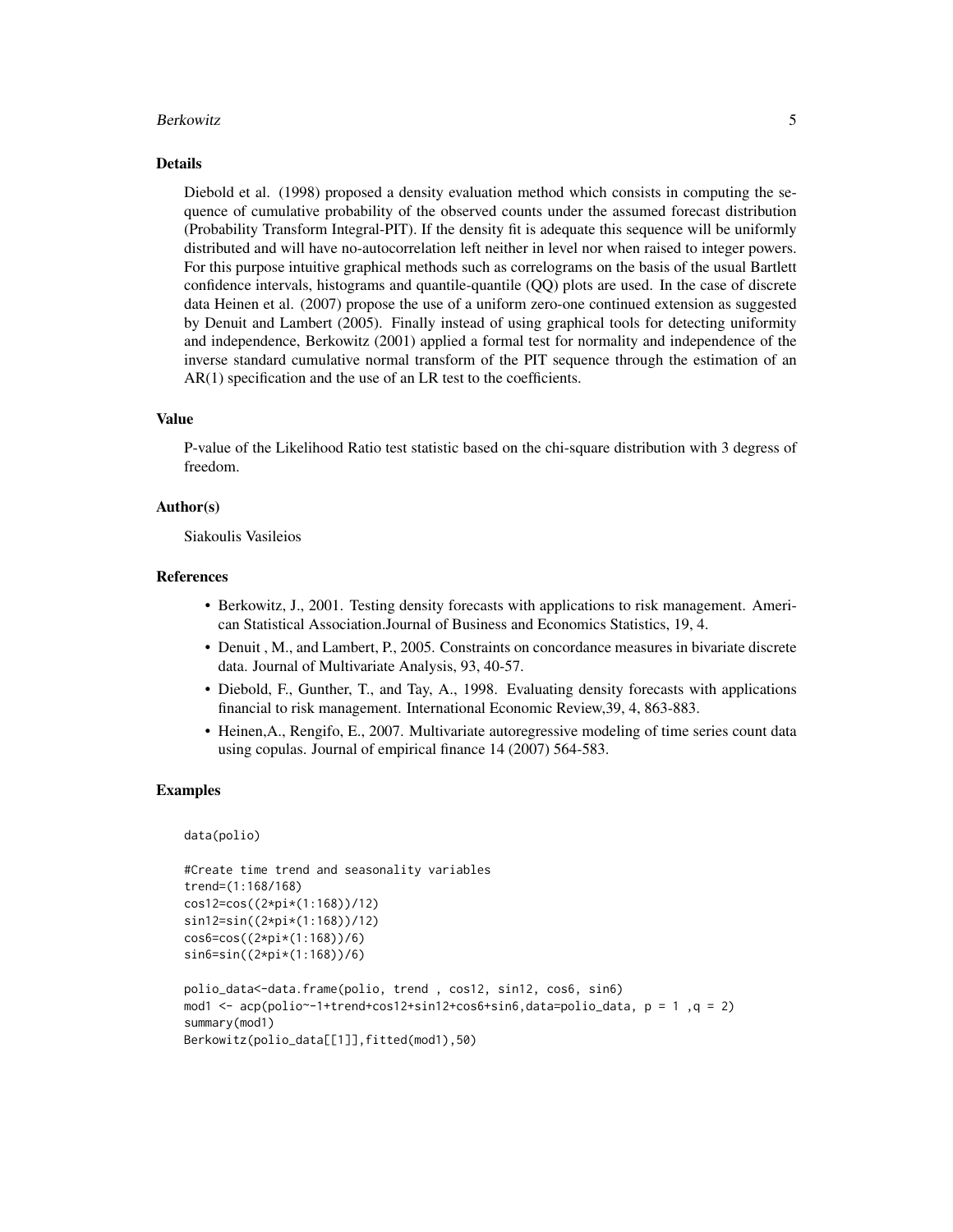#### Berkowitz 5.5 and 5.5 and 5.5 and 5.5 and 5.5 and 5.5 and 5.5 and 5.5 and 5.5 and 5.5 and 5.5 and 5.5 and 5.5 and 5.5 and 5.5 and 5.5 and 5.5 and 5.5 and 5.5 and 5.5 and 5.5 and 5.5 and 5.5 and 5.5 and 5.5 and 5.5 and 5.5

#### Details

Diebold et al. (1998) proposed a density evaluation method which consists in computing the sequence of cumulative probability of the observed counts under the assumed forecast distribution (Probability Transform Integral-PIT). If the density fit is adequate this sequence will be uniformly distributed and will have no-autocorrelation left neither in level nor when raised to integer powers. For this purpose intuitive graphical methods such as correlograms on the basis of the usual Bartlett confidence intervals, histograms and quantile-quantile (QQ) plots are used. In the case of discrete data Heinen et al. (2007) propose the use of a uniform zero-one continued extension as suggested by Denuit and Lambert (2005). Finally instead of using graphical tools for detecting uniformity and independence, Berkowitz (2001) applied a formal test for normality and independence of the inverse standard cumulative normal transform of the PIT sequence through the estimation of an AR(1) specification and the use of an LR test to the coefficients.

#### Value

P-value of the Likelihood Ratio test statistic based on the chi-square distribution with 3 degress of freedom.

#### Author(s)

Siakoulis Vasileios

#### References

- Berkowitz, J., 2001. Testing density forecasts with applications to risk management. American Statistical Association.Journal of Business and Economics Statistics, 19, 4.
- Denuit , M., and Lambert, P., 2005. Constraints on concordance measures in bivariate discrete data. Journal of Multivariate Analysis, 93, 40-57.
- Diebold, F., Gunther, T., and Tay, A., 1998. Evaluating density forecasts with applications financial to risk management. International Economic Review,39, 4, 863-883.
- Heinen,A., Rengifo, E., 2007. Multivariate autoregressive modeling of time series count data using copulas. Journal of empirical finance 14 (2007) 564-583.

#### Examples

```
data(polio)
```

```
#Create time trend and seasonality variables
trend=(1:168/168)
cos12=cos((2*pi*(1:168))/12)
sin12=sin((2*pi*(1:168))/12)
cos6=cos((2*pi*(1:168))/6)
sin6=sin((2*pi*(1:168))/6)
polio_data<-data.frame(polio, trend , cos12, sin12, cos6, sin6)
mod1 <- acp(polio~-1+trend+cos12+sin12+cos6+sin6,data=polio_data, p = 1 ,q = 2)
summary(mod1)
Berkowitz(polio_data[[1]],fitted(mod1),50)
```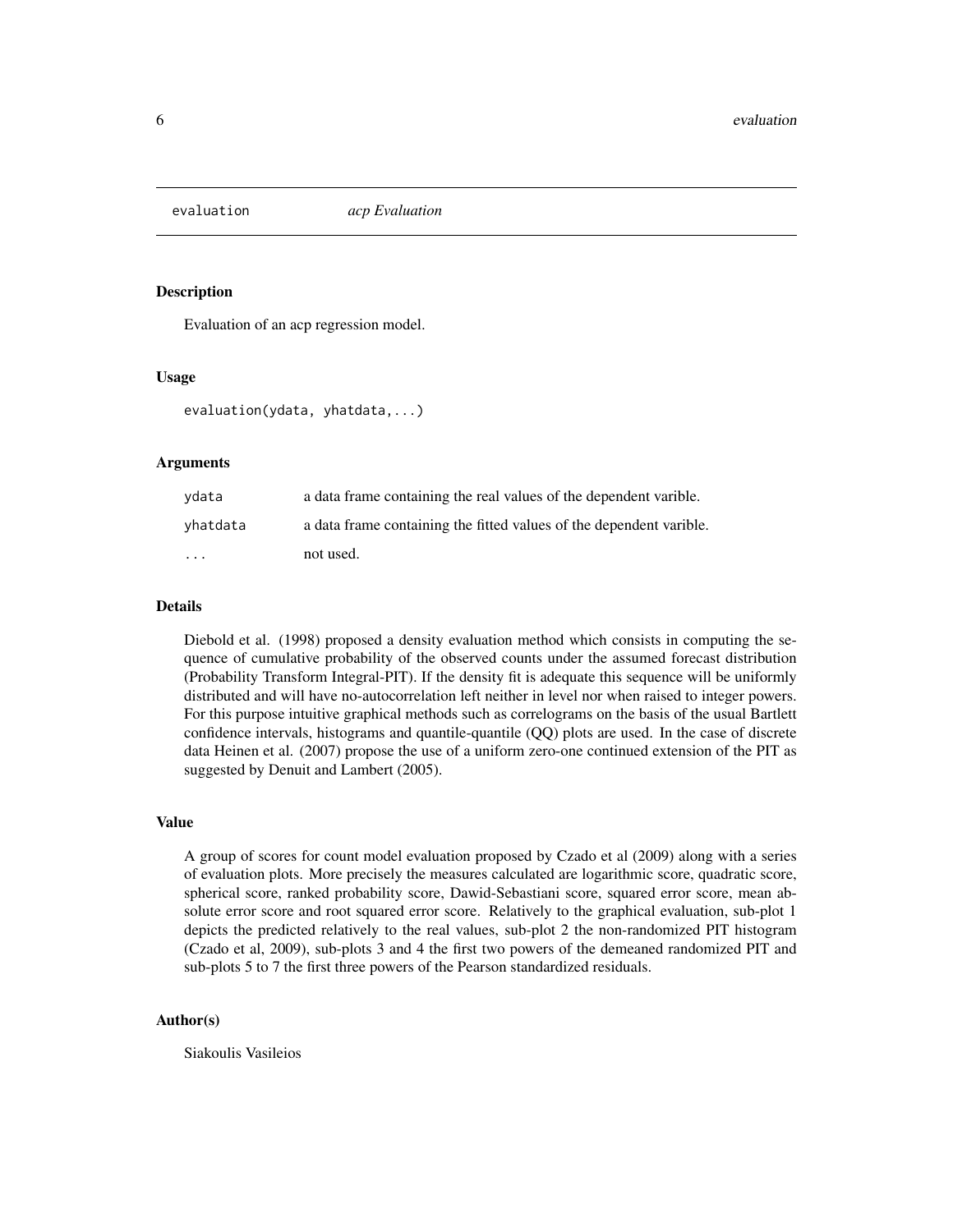<span id="page-5-0"></span>

#### Description

Evaluation of an acp regression model.

#### Usage

evaluation(ydata, yhatdata,...)

#### Arguments

| vdata                   | a data frame containing the real values of the dependent varible.   |
|-------------------------|---------------------------------------------------------------------|
| yhatdata                | a data frame containing the fitted values of the dependent varible. |
| $\cdot$ $\cdot$ $\cdot$ | not used.                                                           |

#### Details

Diebold et al. (1998) proposed a density evaluation method which consists in computing the sequence of cumulative probability of the observed counts under the assumed forecast distribution (Probability Transform Integral-PIT). If the density fit is adequate this sequence will be uniformly distributed and will have no-autocorrelation left neither in level nor when raised to integer powers. For this purpose intuitive graphical methods such as correlograms on the basis of the usual Bartlett confidence intervals, histograms and quantile-quantile (QQ) plots are used. In the case of discrete data Heinen et al. (2007) propose the use of a uniform zero-one continued extension of the PIT as suggested by Denuit and Lambert (2005).

#### Value

A group of scores for count model evaluation proposed by Czado et al (2009) along with a series of evaluation plots. More precisely the measures calculated are logarithmic score, quadratic score, spherical score, ranked probability score, Dawid-Sebastiani score, squared error score, mean absolute error score and root squared error score. Relatively to the graphical evaluation, sub-plot 1 depicts the predicted relatively to the real values, sub-plot 2 the non-randomized PIT histogram (Czado et al, 2009), sub-plots 3 and 4 the first two powers of the demeaned randomized PIT and sub-plots 5 to 7 the first three powers of the Pearson standardized residuals.

#### Author(s)

Siakoulis Vasileios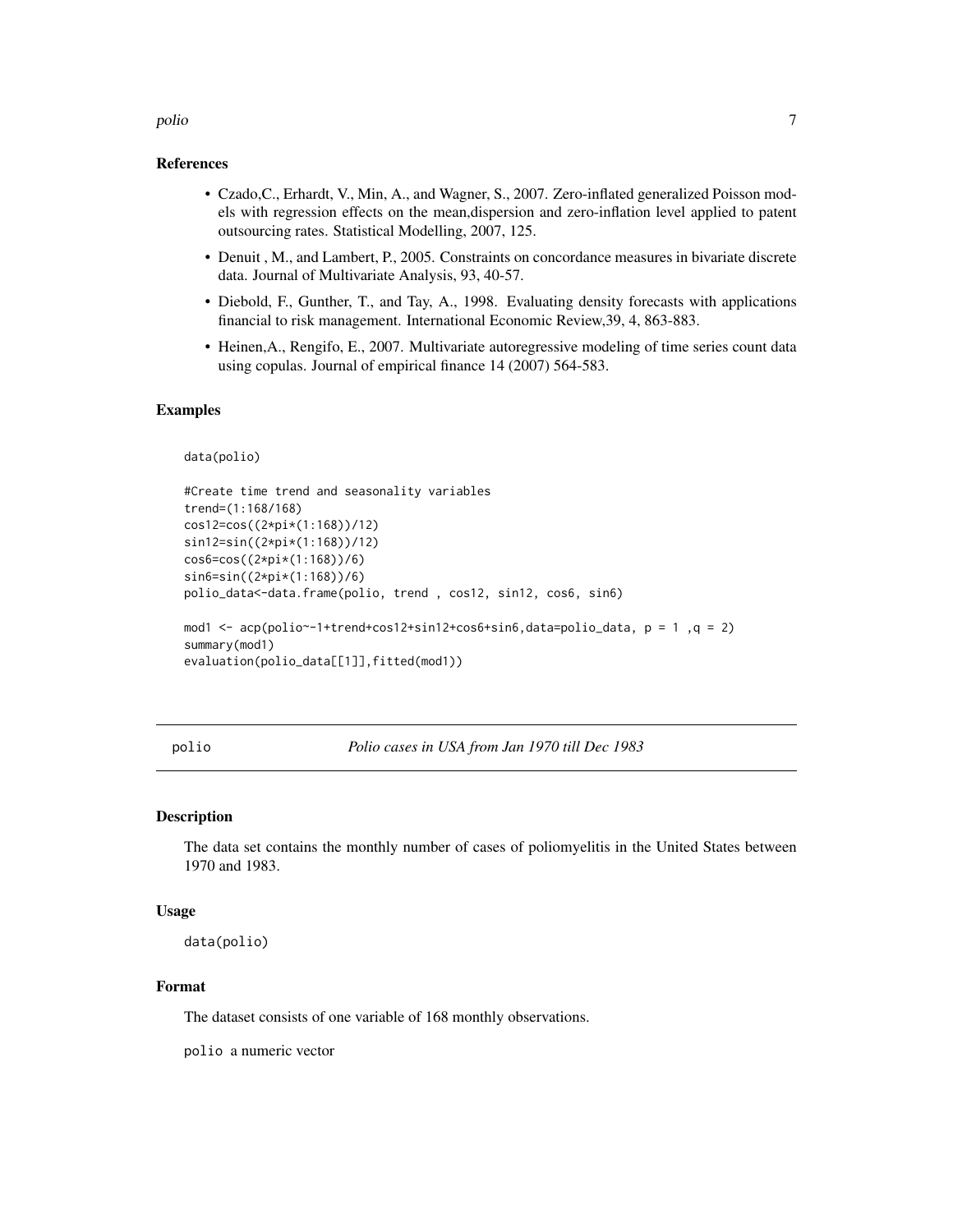#### <span id="page-6-0"></span>polio antico antico antico antico antico antico antico antico antico antico antico antico antico antico antico

#### References

- Czado,C., Erhardt, V., Min, A., and Wagner, S., 2007. Zero-inflated generalized Poisson models with regression effects on the mean,dispersion and zero-inflation level applied to patent outsourcing rates. Statistical Modelling, 2007, 125.
- Denuit , M., and Lambert, P., 2005. Constraints on concordance measures in bivariate discrete data. Journal of Multivariate Analysis, 93, 40-57.
- Diebold, F., Gunther, T., and Tay, A., 1998. Evaluating density forecasts with applications financial to risk management. International Economic Review,39, 4, 863-883.
- Heinen,A., Rengifo, E., 2007. Multivariate autoregressive modeling of time series count data using copulas. Journal of empirical finance 14 (2007) 564-583.

#### Examples

```
data(polio)
```

```
#Create time trend and seasonality variables
trend=(1:168/168)
cos12=cos((2*pi*(1:168))/12)
sin12=sin((2*pi*(1:168))/12)
cos6=cos((2*pi*(1:168))/6)
sin6=sin((2*pi*(1:168))/6)
polio_data<-data.frame(polio, trend , cos12, sin12, cos6, sin6)
mod1 <- acp(polio~-1+trend+cos12+sin12+cos6+sin6,data=polio_data, p = 1 ,q = 2)
summary(mod1)
evaluation(polio_data[[1]],fitted(mod1))
```
polio *Polio cases in USA from Jan 1970 till Dec 1983*

#### Description

The data set contains the monthly number of cases of poliomyelitis in the United States between 1970 and 1983.

#### Usage

data(polio)

#### Format

The dataset consists of one variable of 168 monthly observations.

polio a numeric vector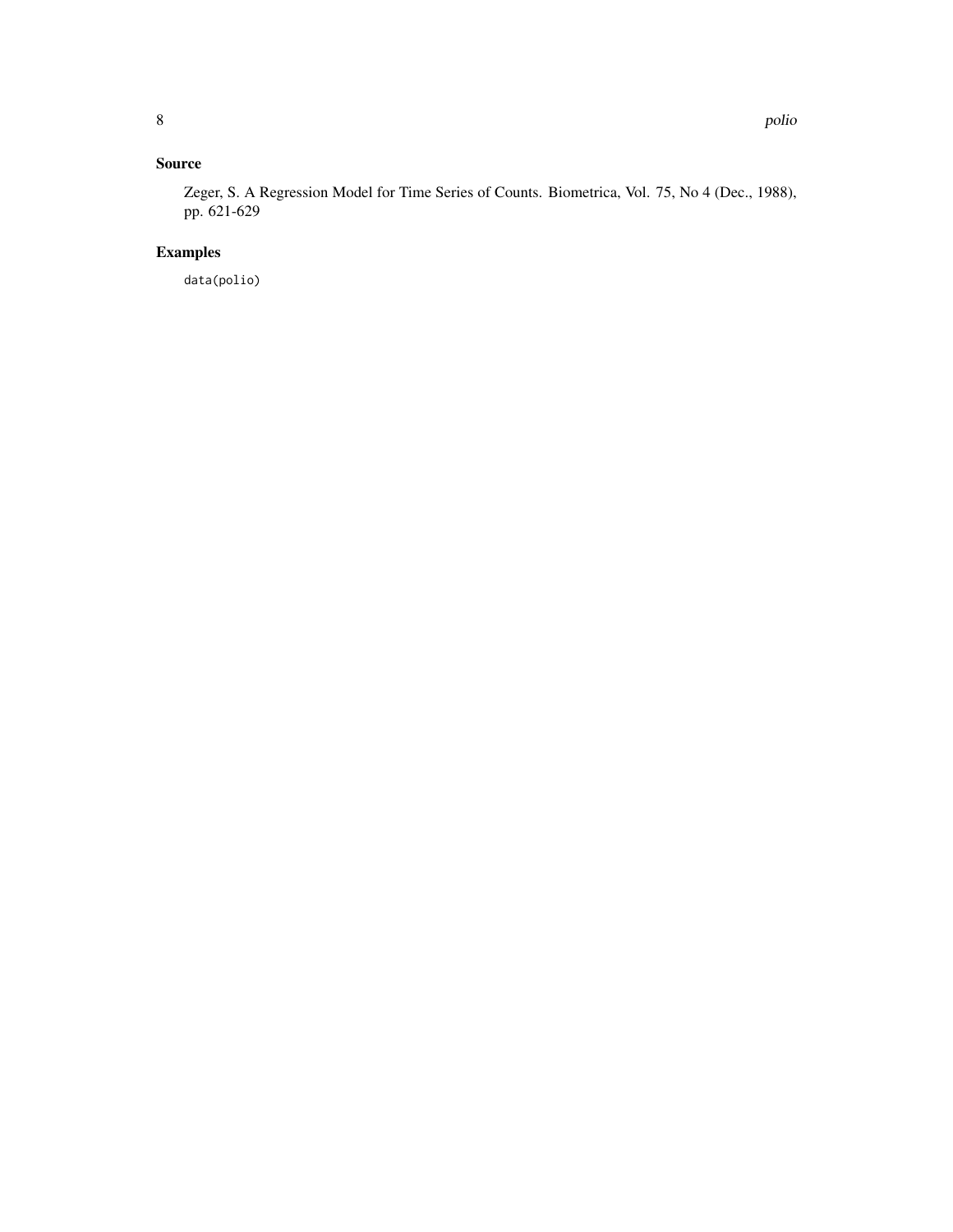#### Source

Zeger, S. A Regression Model for Time Series of Counts. Biometrica, Vol. 75, No 4 (Dec., 1988), pp. 621-629

### Examples

data(polio)